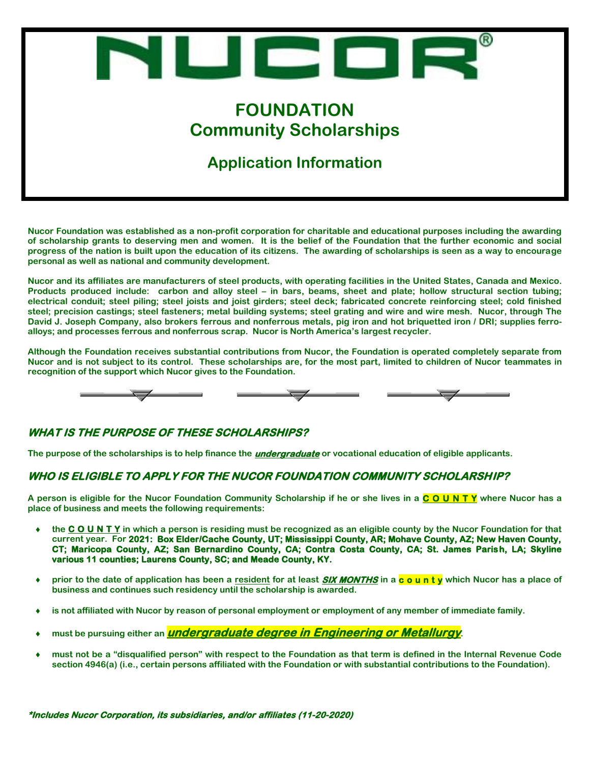

## **Application Information**

**Nucor Foundation was established as a non-profit corporation for charitable and educational purposes including the awarding of scholarship grants to deserving men and women. It is the belief of the Foundation that the further economic and social progress of the nation is built upon the education of its citizens. The awarding of scholarships is seen as a way to encourage personal as well as national and community development.**

**Nucor and its affiliates are manufacturers of steel products, with operating facilities in the United States, Canada and Mexico. Products produced include: carbon and alloy steel – in bars, beams, sheet and plate; hollow structural section tubing; electrical conduit; steel piling; steel joists and joist girders; steel deck; fabricated concrete reinforcing steel; cold finished steel; precision castings; steel fasteners; metal building systems; steel grating and wire and wire mesh. Nucor, through The David J. Joseph Company, also brokers ferrous and nonferrous metals, pig iron and hot briquetted iron / DRI; supplies ferroalloys; and processes ferrous and nonferrous scrap. Nucor is North America's largest recycler.**

**Although the Foundation receives substantial contributions from Nucor, the Foundation is operated completely separate from Nucor and is not subject to its control. These scholarships are, for the most part, limited to children of Nucor teammates in recognition of the support which Nucor gives to the Foundation.**



#### **WHAT IS THE PURPOSE OF THESE SCHOLARSHIPS?**

**The purpose of the scholarships is to help finance the undergraduate or vocational education of eligible applicants.**

#### **WHO IS ELIGIBLE TO APPLY FOR THE NUCOR FOUNDATION COMMUNITY SCHOLARSHIP?**

**A person is eligible for the Nucor Foundation Community Scholarship if he or she lives in a C O U N T Y where Nucor has a place of business and meets the following requirements:** 

- **the C O U N T Y in which a person is residing must be recognized as an eligible county by the Nucor Foundation for that current year. For 2021: Box Elder/Cache County, UT; Mississippi County, AR; Mohave County, AZ; New Haven County, CT; Maricopa County, AZ; San Bernardino County, CA; Contra Costa County, CA; St. James Parish, LA; Skyline various 11 counties; Laurens County, SC; and Meade County, KY.**
- **prior to the date of application has been a resident for at least SIX MONTHS in a c o u n t y which Nucor has a place of business and continues such residency until the scholarship is awarded.**
- **is not affiliated with Nucor by reason of personal employment or employment of any member of immediate family.**
- **must be pursuing either an undergraduate degree in Engineering or Metallurgy.**
- **must not be a "disqualified person" with respect to the Foundation as that term is defined in the Internal Revenue Code section 4946(a) (i.e., certain persons affiliated with the Foundation or with substantial contributions to the Foundation).**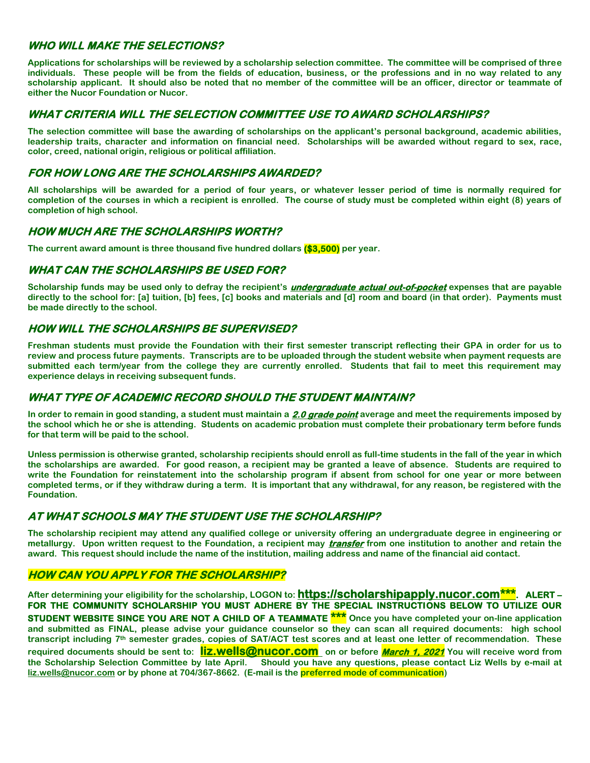#### **WHO WILL MAKE THE SELECTIONS?**

**Applications for scholarships will be reviewed by a scholarship selection committee. The committee will be comprised of three individuals. These people will be from the fields of education, business, or the professions and in no way related to any scholarship applicant. It should also be noted that no member of the committee will be an officer, director or teammate of either the Nucor Foundation or Nucor.**

#### **WHAT CRITERIA WILL THE SELECTION COMMITTEE USE TO AWARD SCHOLARSHIPS?**

**The selection committee will base the awarding of scholarships on the applicant's personal background, academic abilities, leadership traits, character and information on financial need. Scholarships will be awarded without regard to sex, race, color, creed, national origin, religious or political affiliation.**

#### **FOR HOW LONG ARE THE SCHOLARSHIPS AWARDED?**

**All scholarships will be awarded for a period of four years, or whatever lesser period of time is normally required for completion of the courses in which a recipient is enrolled. The course of study must be completed within eight (8) years of completion of high school.** 

#### **HOW MUCH ARE THE SCHOLARSHIPS WORTH?**

**The current award amount is three thousand five hundred dollars (\$3,500) per year.**

#### **WHAT CAN THE SCHOLARSHIPS BE USED FOR?**

**Scholarship funds may be used only to defray the recipient's undergraduate actual out-of-pocket expenses that are payable directly to the school for: [a] tuition, [b] fees, [c] books and materials and [d] room and board (in that order). Payments must be made directly to the school.**

#### **HOW WILL THE SCHOLARSHIPS BE SUPERVISED?**

**Freshman students must provide the Foundation with their first semester transcript reflecting their GPA in order for us to review and process future payments. Transcripts are to be uploaded through the student website when payment requests are submitted each term/year from the college they are currently enrolled. Students that fail to meet this requirement may experience delays in receiving subsequent funds.**

#### **WHAT TYPE OF ACADEMIC RECORD SHOULD THE STUDENT MAINTAIN?**

**In order to remain in good standing, a student must maintain a 2.0 grade point average and meet the requirements imposed by the school which he or she is attending. Students on academic probation must complete their probationary term before funds for that term will be paid to the school.**

**Unless permission is otherwise granted, scholarship recipients should enroll as full-time students in the fall of the year in which the scholarships are awarded. For good reason, a recipient may be granted a leave of absence. Students are required to write the Foundation for reinstatement into the scholarship program if absent from school for one year or more between completed terms, or if they withdraw during a term. It is important that any withdrawal, for any reason, be registered with the Foundation.**

#### **AT WHAT SCHOOLS MAY THE STUDENT USE THE SCHOLARSHIP?**

**The scholarship recipient may attend any qualified college or university offering an undergraduate degree in engineering or metallurgy. Upon written request to the Foundation, a recipient may transfer from one institution to another and retain the award. This request should include the name of the institution, mailing address and name of the financial aid contact.**

#### **HOW CAN YOU APPLY FOR THE SCHOLARSHIP?**

**After determining your eligibility for the scholarship, LOGON to: https://scholarshipapply.nucor.com\*\*\*. ALERT – FOR THE COMMUNITY SCHOLARSHIP YOU MUST ADHERE BY THE SPECIAL INSTRUCTIONS BELOW TO UTILIZE OUR STUDENT WEBSITE SINCE YOU ARE NOT A CHILD OF A TEAMMATE \*\*\* Once you have completed your on-line application and submitted as FINAL, please advise your guidance counselor so they can scan all required documents: high school transcript including 7th semester grades, copies of SAT/ACT test scores and at least one letter of recommendation. These required documents should be sent to: [liz.wells@nucor.com](mailto:liz.wells@nucor.com) on or before March 1, 2021 You will receive word from**  Should you have any questions, please contact Liz Wells by e-mail at **[liz.wells@nucor.com](mailto:liz.wells@nucor.com) or by phone at 704/367-8662. (E-mail is the preferred mode of communication)**